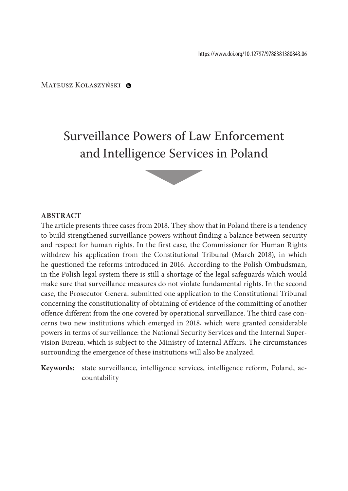Mateusz Kolaszyński @

# Surveillance Powers of Law Enforcement and Intelligence Services in Poland

### **Abstract**

The article presents three cases from 2018. They show that in Poland there is a tendency to build strengthened surveillance powers without finding a balance between security and respect for human rights. In the first case, the Commissioner for Human Rights withdrew his application from the Constitutional Tribunal (March 2018), in which he questioned the reforms introduced in 2016. According to the Polish Ombudsman, in the Polish legal system there is still a shortage of the legal safeguards which would make sure that surveillance measures do not violate fundamental rights. In the second case, the Prosecutor General submitted one application to the Constitutional Tribunal concerning the constitutionality of obtaining of evidence of the committing of another offence different from the one covered by operational surveillance. The third case concerns two new institutions which emerged in 2018, which were granted considerable powers in terms of surveillance: the National Security Services and the Internal Supervision Bureau, which is subject to the Ministry of Internal Affairs. The circumstances surrounding the emergence of these institutions will also be analyzed.

**Keywords:** state surveillance, intelligence services, intelligence reform, Poland, accountability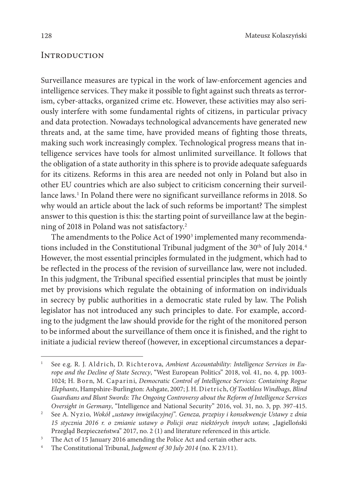## **INTRODUCTION**

Surveillance measures are typical in the work of law-enforcement agencies and intelligence services. They make it possible to fight against such threats as terrorism, cyber-attacks, organized crime etc. However, these activities may also seriously interfere with some fundamental rights of citizens, in particular privacy and data protection. Nowadays technological advancements have generated new threats and, at the same time, have provided means of fighting those threats, making such work increasingly complex. Technological progress means that intelligence services have tools for almost unlimited surveillance. It follows that the obligation of a state authority in this sphere is to provide adequate safeguards for its citizens. Reforms in this area are needed not only in Poland but also in other EU countries which are also subject to criticism concerning their surveillance laws.1 In Poland there were no significant surveillance reforms in 2018. So why would an article about the lack of such reforms be important? The simplest answer to this question is this: the starting point of surveillance law at the beginning of 2018 in Poland was not satisfactory.2

The amendments to the Police Act of 1990 $^{\rm 3}$  implemented many recommendations included in the Constitutional Tribunal judgment of the 30<sup>th</sup> of July 2014.<sup>4</sup> However, the most essential principles formulated in the judgment, which had to be reflected in the process of the revision of surveillance law, were not included. In this judgment, the Tribunal specified essential principles that must be jointly met by provisions which regulate the obtaining of information on individuals in secrecy by public authorities in a democratic state ruled by law. The Polish legislator has not introduced any such principles to date. For example, according to the judgment the law should provide for the right of the monitored person to be informed about the surveillance of them once it is finished, and the right to initiate a judicial review thereof (however, in exceptional circumstances a depar-

See e.g. R. J. Aldrich, D. Richterova, Ambient Accountability: Intelligence Services in Eu*rope and the Decline of State Secrecy*, "West European Politics" 2018, vol. 41, no. 4, pp. 1003- 1024; H. Born, M. Caparini, *Democratic Control of Intelligence Services: Containing Rogue Elephants*, Hampshire-Burlington: Ashgate, 2007; J. H. Dietrich, *Of Toothless Windbags, Blind Guardians and Blunt Swords: The Ongoing Controversy about the Reform of Intelligence Services Oversight in Germany*, "Intelligence and National Security" 2016, vol. 31, no. 3, pp. 397-415.

<sup>&</sup>lt;sup>2</sup> See A. Nyzio, *Wokół "ustawy inwigilacyjnej". Geneza, przepisy i konsekwencje Ustawy z dnia 15 stycznia 2016 r. o zmianie ustawy o Policji oraz niektórych innych ustaw,* "Jagielloński Przegląd Bezpieczeństwa" 2017, no. 2 (1) and literature referenced in this article.<br><sup>3</sup> The Act of 15 January 2016 amending the Police Act and certain other acts.<br><sup>4</sup> The Constitutional Tribunal *Judement* of 30 July 2014

<sup>4</sup> The Constitutional Tribunal, *Judgment of 30 July 2014* (no. K 23/11).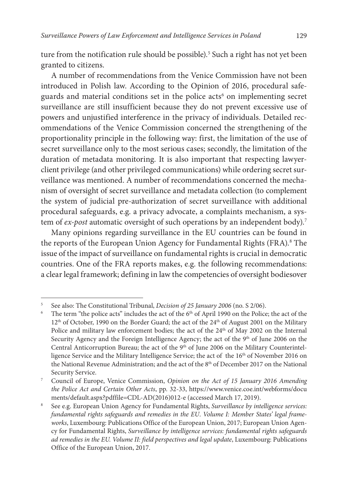ture from the notification rule should be possible).<sup>5</sup> Such a right has not yet been granted to citizens.

A number of recommendations from the Venice Commission have not been introduced in Polish law. According to the Opinion of 2016, procedural safeguards and material conditions set in the police acts<sup>6</sup> on implementing secret surveillance are still insufficient because they do not prevent excessive use of powers and unjustified interference in the privacy of individuals. Detailed recommendations of the Venice Commission concerned the strengthening of the proportionality principle in the following way: first, the limitation of the use of secret surveillance only to the most serious cases; secondly, the limitation of the duration of metadata monitoring. It is also important that respecting lawyerclient privilege (and other privileged communications) while ordering secret surveillance was mentioned. A number of recommendations concerned the mechanism of oversight of secret surveillance and metadata collection (to complement the system of judicial pre-authorization of secret surveillance with additional procedural safeguards, e.g. a privacy advocate, a complaints mechanism, a system of *ex-post* automatic oversight of such operations by an independent body).<sup>7</sup>

Many opinions regarding surveillance in the EU countries can be found in the reports of the European Union Agency for Fundamental Rights (FRA).<sup>8</sup> The issue of the impact of surveillance on fundamental rights is crucial in democratic countries. One of the FRA reports makes, e.g. the following recommendations: a clear legal framework; defining in law the competencies of oversight bodiesover

See also: The Constitutional Tribunal, *Decision of 25 January 2006* (no. S 2/06). The term "the police acts" includes the act of the 6<sup>th</sup> of April 1990 on the Police; the act of the 12<sup>th</sup> of October, 1990 on the Border Guard; the act of the 24<sup>th</sup> of August 2001 on the Military Police and military law enforcement bodies; the act of the 24<sup>th</sup> of May 2002 on the Internal Security Agency and the Foreign Intelligence Agency; the act of the 9<sup>th</sup> of June 2006 on the Central Anticorruption Bureau; the act of the 9<sup>th</sup> of June 2006 on the Military Counterintelligence Service and the Military Intelligence Service; the act of the 16<sup>th</sup> of November 2016 on the National Revenue Administration; and the act of the 8<sup>th</sup> of December 2017 on the National Security Service.

<sup>7</sup> Council of Europe, Venice Commission, *Opinion on the Act of 15 January 2016 Amending the Police Act and Certain Other Acts*, pp. 32-33, [https://www.venice.coe.int/webforms/docu](https://www.venice.coe.int/webforms/documents/default.aspx?pdffile=CDL-AD(2016)012-e)

[ments/default.aspx?pdffile=CDL-AD\(2016\)012-e](https://www.venice.coe.int/webforms/documents/default.aspx?pdffile=CDL-AD(2016)012-e) (accessed March 17, 2019).<br><sup>8</sup> See e.g. European Union Agency for Fundamental Rights, *Surveillance by intelligence services*: *fundamental rights safeguards and remedies in the EU*. *Volume I: Member States' legal frameworks*, Luxembourg: Publications Office of the European Union, 2017; European Union Agency for Fundamental Rights, *Surveillance by intelligence services: fundamental rights safeguards ad remedies in the EU. Volume II: field perspectives and legal update*, Luxembourg: Publications Office of the European Union, 2017.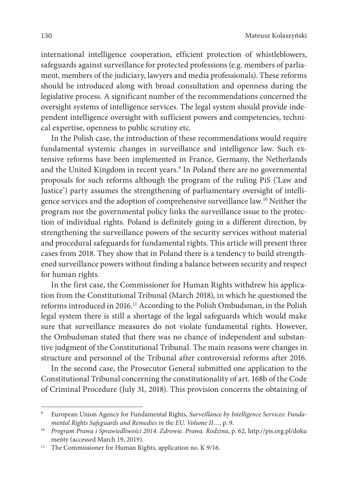international intelligence cooperation, efficient protection of whistleblowers, safeguards against surveillance for protected professions (e.g. members of parliament, members of the judiciary, lawyers and media professionals). These reforms should be introduced along with broad consultation and openness during the legislative process. A significant number of the recommendations concerned the oversight systems of intelligence services. The legal system should provide independent intelligence oversight with sufficient powers and competencies, technical expertise, openness to public scrutiny etc.

In the Polish case, the introduction of these recommendations would require fundamental systemic changes in surveillance and intelligence law. Such extensive reforms have been implemented in France, Germany, the Netherlands and the United Kingdom in recent years.<sup>9</sup> In Poland there are no governmental proposals for such reforms although the program of the ruling PiS ('Law and Justice') party assumes the strengthening of parliamentary oversight of intelligence services and the adoption of comprehensive surveillance law.10 Neither the program nor the governmental policy links the surveillance issue to the protection of individual rights. Poland is definitely going in a different direction, by strengthening the surveillance powers of the security services without material and procedural safeguards for fundamental rights. This article will present three cases from 2018. They show that in Poland there is a tendency to build strengthened surveillance powers without finding a balance between security and respect for human rights.

In the first case, the Commissioner for Human Rights withdrew his application from the Constitutional Tribunal (March 2018), in which he questioned the reforms introduced in 2016.11 According to the Polish Ombudsman, in the Polish legal system there is still a shortage of the legal safeguards which would make sure that surveillance measures do not violate fundamental rights. However, the Ombudsman stated that there was no chance of independent and substantive judgment of the Constitutional Tribunal. The main reasons were changes in structure and personnel of the Tribunal after controversial reforms after 2016.

In the second case, the Prosecutor General submitted one application to the Constitutional Tribunal concerning the constitutionality of art. 168b of the Code of Criminal Procedure (July 31, 2018). This provision concerns the obtaining of

<sup>9</sup> European Union Agency for Fundamental Rights, *Surveillance by Intelligence Services: Fundamental Rights Safeguards and Remedies in the EU. Volume II…*, p. 9.

<sup>10</sup> *Program Prawa i Sprawiedliwości 2014. Zdrowie. Prawa. Rodzina*, p. 62, http://pis.org.pl/doku menty (accessed March 19, 2019).<br><sup>11</sup> The Commissioner for Human Rights, application no. K 9/16.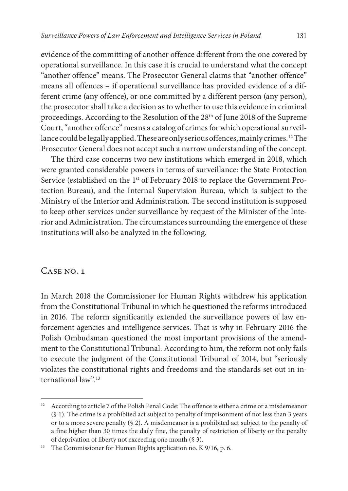evidence of the committing of another offence different from the one covered by operational surveillance. In this case it is crucial to understand what the concept "another offence" means. The Prosecutor General claims that "another offence" means all offences – if operational surveillance has provided evidence of a different crime (any offence), or one committed by a different person (any person), the prosecutor shall take a decision as to whether to use this evidence in criminal proceedings. According to the Resolution of the 28th of June 2018 of the Supreme Court, "another offence" means a catalog of crimes for which operational surveillance could be legally applied. These are only serious offences, mainly crimes.<sup>12</sup> The Prosecutor General does not accept such a narrow understanding of the concept.

The third case concerns two new institutions which emerged in 2018, which were granted considerable powers in terms of surveillance: the State Protection Service (established on the 1<sup>st</sup> of February 2018 to replace the Government Protection Bureau), and the Internal Supervision Bureau, which is subject to the Ministry of the Interior and Administration. The second institution is supposed to keep other services under surveillance by request of the Minister of the Interior and Administration. The circumstances surrounding the emergence of these institutions will also be analyzed in the following.

# CASE NO. 1

In March 2018 the Commissioner for Human Rights withdrew his application from the Constitutional Tribunal in which he questioned the reforms introduced in 2016. The reform significantly extended the surveillance powers of law enforcement agencies and intelligence services. That is why in February 2016 the Polish Ombudsman questioned the most important provisions of the amendment to the Constitutional Tribunal. According to him, the reform not only fails to execute the judgment of the Constitutional Tribunal of 2014, but "seriously violates the constitutional rights and freedoms and the standards set out in international law".13

<sup>12</sup> According to article 7 of the Polish Penal Code: The offence is either a crime or a misdemeanor (§ 1). The crime is a prohibited act subject to penalty of imprisonment of not less than 3 years or to a more severe penalty (§ 2). A misdemeanor is a prohibited act subject to the penalty of a fine higher than 30 times the daily fine, the penalty of restriction of liberty or the penalty of deprivation of liberty not exceeding one month (§ 3).

<sup>&</sup>lt;sup>13</sup> The Commissioner for Human Rights application no. K 9/16, p. 6.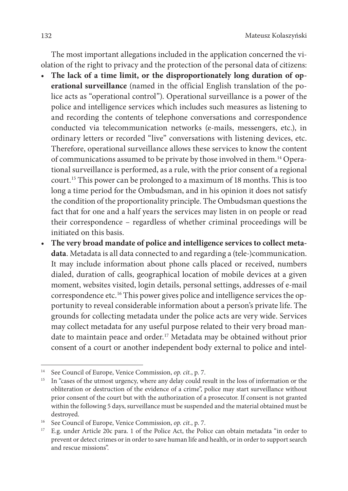The most important allegations included in the application concerned the violation of the right to privacy and the protection of the personal data of citizens:

- The lack of a time limit, or the disproportionately long duration of op**erational surveillance** (named in the official English translation of the police acts as "operational control"). Operational surveillance is a power of the police and intelligence services which includes such measures as listening to and recording the contents of telephone conversations and correspondence conducted via telecommunication networks (e-mails, messengers, etc.), in ordinary letters or recorded "live" conversations with listening devices, etc. Therefore, operational surveillance allows these services to know the content of communications assumed to be private by those involved in them.14 Operational surveillance is performed, as a rule, with the prior consent of a regional court.15 This power can be prolonged to a maximum of 18 months. This is too long a time period for the Ombudsman, and in his opinion it does not satisfy the condition of the proportionality principle. The Ombudsman questions the fact that for one and a half years the services may listen in on people or read their correspondence – regardless of whether criminal proceedings will be initiated on this basis.
- The very broad mandate of police and intelligence services to collect meta**data**. Metadata is all data connected to and regarding a (tele-)communication. It may include information about phone calls placed or received, numbers dialed, duration of calls, geographical location of mobile devices at a given moment, websites visited, login details, personal settings, addresses of e-mail correspondence etc.16 This power gives police and intelligence services the opportunity to reveal considerable information about a person's private life. The grounds for collecting metadata under the police acts are very wide. Services may collect metadata for any useful purpose related to their very broad mandate to maintain peace and order.<sup>17</sup> Metadata may be obtained without prior consent of a court or another independent body external to police and intel-

<sup>14</sup> See Council of Europe, Venice Commission, *op. cit.*, p. 7.

<sup>&</sup>lt;sup>15</sup> In "cases of the utmost urgency, where any delay could result in the loss of information or the obliteration or destruction of the evidence of a crime", police may start surveillance without prior consent of the court but with the authorization of a prosecutor. If consent is not granted within the following 5 days, surveillance must be suspended and the material obtained must be destroyed. 16 See Council of Europe, Venice Commission, *op. cit.*, p. 7.

<sup>&</sup>lt;sup>17</sup> E.g. under Article 20c para. 1 of the Police Act, the Police can obtain metadata "in order to prevent or detect crimes or in order to save human life and health, or in order to support search and rescue missions".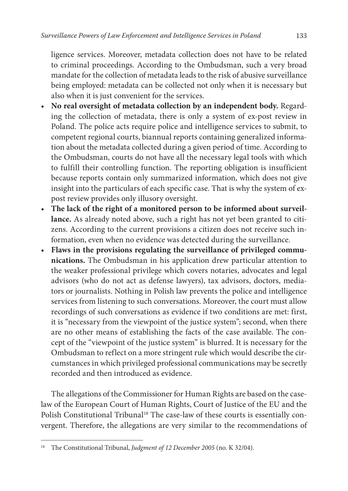ligence services. Moreover, metadata collection does not have to be related to criminal proceedings. According to the Ombudsman, such a very broad mandate for the collection of metadata leads to the risk of abusive surveillance being employed: metadata can be collected not only when it is necessary but also when it is just convenient for the services.

- **No real oversight of metadata collection by an independent body.** Regarding the collection of metadata, there is only a system of ex-post review in Poland. The police acts require police and intelligence services to submit, to competent regional courts, biannual reports containing generalized information about the metadata collected during a given period of time. According to the Ombudsman, courts do not have all the necessary legal tools with which to fulfill their controlling function. The reporting obligation is insufficient because reports contain only summarized information, which does not give insight into the particulars of each specific case. That is why the system of expost review provides only illusory oversight.
- **The lack of the right of a monitored person to be informed about surveillance.** As already noted above, such a right has not yet been granted to citizens. According to the current provisions a citizen does not receive such information, even when no evidence was detected during the surveillance.
- **Flaws in the provisions regulating the surveillance of privileged communications.** The Ombudsman in his application drew particular attention to the weaker professional privilege which covers notaries, advocates and legal advisors (who do not act as defense lawyers), tax advisors, doctors, mediators or journalists. Nothing in Polish law prevents the police and intelligence services from listening to such conversations. Moreover, the court must allow recordings of such conversations as evidence if two conditions are met: first, it is "necessary from the viewpoint of the justice system"; second, when there are no other means of establishing the facts of the case available. The concept of the "viewpoint of the justice system" is blurred. It is necessary for the Ombudsman to reflect on a more stringent rule which would describe the circumstances in which privileged professional communications may be secretly recorded and then introduced as evidence.

The allegations of the Commissioner for Human Rights are based on the caselaw of the European Court of Human Rights, Court of Justice of the EU and the Polish Constitutional Tribunal<sup>18</sup> The case-law of these courts is essentially convergent. Therefore, the allegations are very similar to the recommendations of

<sup>18</sup> The Constitutional Tribunal, *Judgment of 12 December 2005* (no. K 32/04).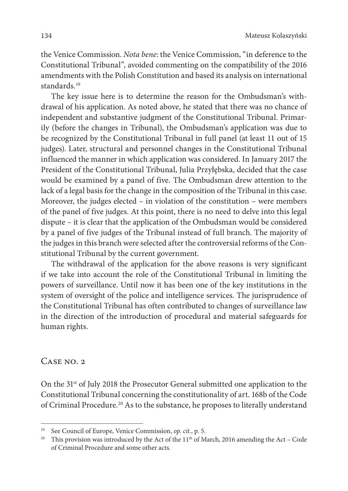the Venice Commission. *Nota bene*: the Venice Commission, "in deference to the Constitutional Tribunal", avoided commenting on the compatibility of the 2016 amendments with the Polish Constitution and based its analysis on international standards.<sup>19</sup>

The key issue here is to determine the reason for the Ombudsman's withdrawal of his application. As noted above, he stated that there was no chance of independent and substantive judgment of the Constitutional Tribunal. Primarily (before the changes in Tribunal), the Ombudsman's application was due to be recognized by the Constitutional Tribunal in full panel (at least 11 out of 15 judges). Later, structural and personnel changes in the Constitutional Tribunal influenced the manner in which application was considered. In January 2017 the President of the Constitutional Tribunal, Julia Przyłębska, decided that the case would be examined by a panel of five. The Ombudsman drew attention to the lack of a legal basis for the change in the composition of the Tribunal in this case. Moreover, the judges elected – in violation of the constitution – were members of the panel of five judges. At this point, there is no need to delve into this legal dispute – it is clear that the application of the Ombudsman would be considered by a panel of five judges of the Tribunal instead of full branch. The majority of the judges in this branch were selected after the controversial reforms of the Constitutional Tribunal by the current government.

The withdrawal of the application for the above reasons is very significant if we take into account the role of the Constitutional Tribunal in limiting the powers of surveillance. Until now it has been one of the key institutions in the system of oversight of the police and intelligence services. The jurisprudence of the Constitutional Tribunal has often contributed to changes of surveillance law in the direction of the introduction of procedural and material safeguards for human rights.

# $CASE NO. 2$

On the 31st of July 2018 the Prosecutor General submitted one application to the Constitutional Tribunal concerning the constitutionality of art. 168b of the Code of Criminal Procedure.20 As to the substance, he proposes to literally understand

<sup>19</sup> See Council of Europe, Venice Commission, *op. cit.*, p. 5.

<sup>&</sup>lt;sup>20</sup> This provision was introduced by the Act of the  $11<sup>th</sup>$  of March, 2016 amending the Act – Code of Criminal Procedure and some other acts.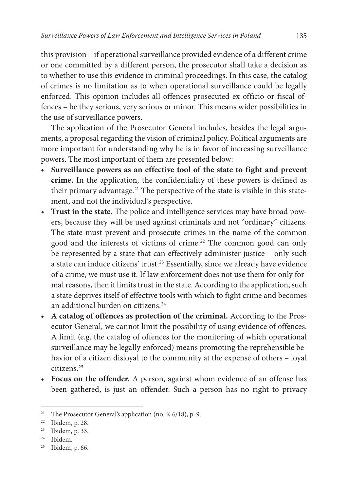this provision – if operational surveillance provided evidence of a different crime or one committed by a different person, the prosecutor shall take a decision as to whether to use this evidence in criminal proceedings. In this case, the catalog of crimes is no limitation as to when operational surveillance could be legally enforced. This opinion includes all offences prosecuted ex officio or fiscal offences – be they serious, very serious or minor. This means wider possibilities in the use of surveillance powers.

The application of the Prosecutor General includes, besides the legal arguments, a proposal regarding the vision of criminal policy. Political arguments are more important for understanding why he is in favor of increasing surveillance powers. The most important of them are presented below:

- **Surveillance powers as an effective tool of the state to fight and prevent crime.** In the application, the confidentiality of these powers is defined as their primary advantage.<sup>21</sup> The perspective of the state is visible in this statement, and not the individual's perspective.
- **Trust in the state.** The police and intelligence services may have broad powers, because they will be used against criminals and not "ordinary" citizens. The state must prevent and prosecute crimes in the name of the common good and the interests of victims of crime.<sup>22</sup> The common good can only be represented by a state that can effectively administer justice – only such a state can induce citizens' trust.23 Essentially, since we already have evidence of a crime, we must use it. If law enforcement does not use them for only formal reasons, then it limits trust in the state. According to the application, such a state deprives itself of effective tools with which to fight crime and becomes an additional burden on citizens.<sup>24</sup>
- **A catalog of offences as protection of the criminal.** According to the Prosecutor General, we cannot limit the possibility of using evidence of offences. A limit (e.g. the catalog of offences for the monitoring of which operational surveillance may be legally enforced) means promoting the reprehensible behavior of a citizen disloyal to the community at the expense of others – loyal citizens.25
- **Focus on the offender.** A person, against whom evidence of an offense has been gathered, is just an offender. Such a person has no right to privacy

<sup>&</sup>lt;sup>21</sup> The Prosecutor General's application (no. K 6/18), p. 9.

<sup>22</sup> Ibidem, p. 28.

<sup>&</sup>lt;sup>23</sup> Ibidem, p. 33.<br><sup>24</sup> Ibidem.<br><sup>25</sup> Ibidem, p. 66.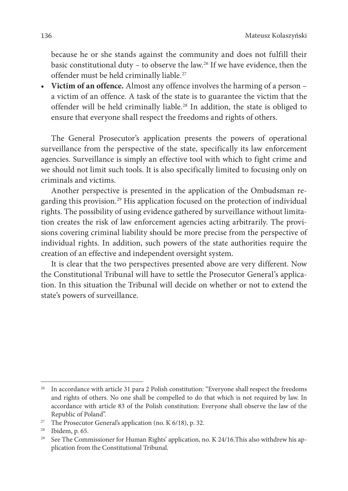because he or she stands against the community and does not fulfill their basic constitutional duty – to observe the law.26 If we have evidence, then the offender must be held criminally liable.<sup>27</sup>

• **Victim of an offence.** Almost any offence involves the harming of a person – a victim of an offence. A task of the state is to guarantee the victim that the offender will be held criminally liable.28 In addition, the state is obliged to ensure that everyone shall respect the freedoms and rights of others.

The General Prosecutor's application presents the powers of operational surveillance from the perspective of the state, specifically its law enforcement agencies. Surveillance is simply an effective tool with which to fight crime and we should not limit such tools. It is also specifically limited to focusing only on criminals and victims.

Another perspective is presented in the application of the Ombudsman regarding this provision.<sup>29</sup> His application focused on the protection of individual rights. The possibility of using evidence gathered by surveillance without limitation creates the risk of law enforcement agencies acting arbitrarily. The provisions covering criminal liability should be more precise from the perspective of individual rights. In addition, such powers of the state authorities require the creation of an effective and independent oversight system.

It is clear that the two perspectives presented above are very different. Now the Constitutional Tribunal will have to settle the Prosecutor General's application. In this situation the Tribunal will decide on whether or not to extend the state's powers of surveillance.

<sup>&</sup>lt;sup>26</sup> In accordance with article 31 para 2 Polish constitution: "Everyone shall respect the freedoms and rights of others. No one shall be compelled to do that which is not required by law. In accordance with article 83 of the Polish constitution: Everyone shall observe the law of the

Republic of Poland".<br><sup>27</sup> The Prosecutor General's application (no. K 6/18), p. 32.

<sup>&</sup>lt;sup>28</sup> Ibidem, p. 65.<br><sup>29</sup> See The Commissioner for Human Rights' application, no. K 24/16. This also withdrew his application from the Constitutional Tribunal.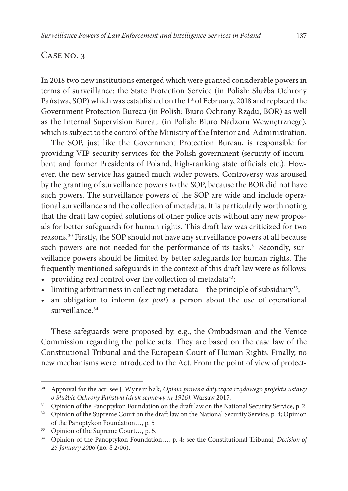## Case no. 3

In 2018 two new institutions emerged which were granted considerable powers in terms of surveillance: the State Protection Service (in Polish: Służba Ochrony Państwa, SOP) which was established on the 1<sup>st</sup> of February, 2018 and replaced the Government Protection Bureau (in Polish: Biuro Ochrony Rządu, BOR) as well as the Internal Supervision Bureau (in Polish: Biuro Nadzoru Wewnętrznego), which is subject to the control of the Ministry of the Interior and Administration.

The SOP, just like the Government Protection Bureau, is responsible for providing VIP security services for the Polish government (security of incumbent and former Presidents of Poland, high-ranking state officials etc.). However, the new service has gained much wider powers. Controversy was aroused by the granting of surveillance powers to the SOP, because the BOR did not have such powers. The surveillance powers of the SOP are wide and include operational surveillance and the collection of metadata. It is particularly worth noting that the draft law copied solutions of other police acts without any new proposals for better safeguards for human rights. This draft law was criticized for two reasons.30 Firstly, the SOP should not have any surveillance powers at all because such powers are not needed for the performance of its tasks.<sup>31</sup> Secondly, surveillance powers should be limited by better safeguards for human rights. The frequently mentioned safeguards in the context of this draft law were as follows:

- providing real control over the collection of metadata<sup>32</sup>;
- limiting arbitrariness in collecting metadata the principle of subsidiary<sup>33</sup>;
- • an obligation to inform (*ex post*) a person about the use of operational surveillance.<sup>34</sup>

These safeguards were proposed by, e.g., the Ombudsman and the Venice Commission regarding the police acts. They are based on the case law of the Constitutional Tribunal and the European Court of Human Rights. Finally, no new mechanisms were introduced to the Act. From the point of view of protect-

<sup>30</sup> Approval for the act: see J. Wyrembak, *Opinia prawna dotycząca rządowego projektu ustawy o Służbie Ochrony Państwa (druk sejmowy nr 1916),* Warsaw 2017.

<sup>&</sup>lt;sup>31</sup> Opinion of the Panoptykon Foundation on the draft law on the National Security Service, p. 2.<br><sup>32</sup> Opinion of the Supreme Court on the draft law on the National Security Service, p. 4; Opinion

of the Panoptykon Foundation…, p. 5

<sup>33</sup> Opinion of the Supreme Court…, p. 5.

<sup>34</sup> Opinion of the Panoptykon Foundation…, p. 4; see the Constitutional Tribunal, *Decision of 25 January 2006* (no. S 2/06).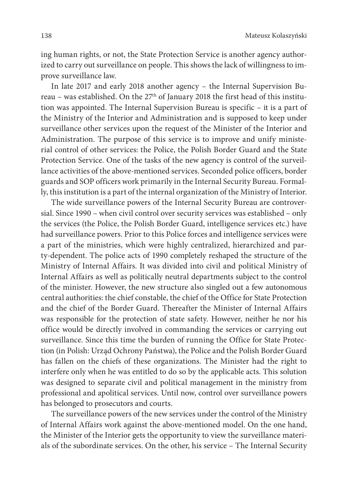ing human rights, or not, the State Protection Service is another agency authorized to carry out surveillance on people. This shows the lack of willingness to improve surveillance law.

In late 2017 and early 2018 another agency – the Internal Supervision Bureau – was established. On the 27<sup>th</sup> of January 2018 the first head of this institution was appointed. The Internal Supervision Bureau is specific – it is a part of the Ministry of the Interior and Administration and is supposed to keep under surveillance other services upon the request of the Minister of the Interior and Administration. The purpose of this service is to improve and unify ministerial control of other services: the Police, the Polish Border Guard and the State Protection Service. One of the tasks of the new agency is control of the surveillance activities of the above-mentioned services. Seconded police officers, border guards and SOP officers work primarily in the Internal Security Bureau. Formally, this institution is a part of the internal organization of the Ministry of Interior.

The wide surveillance powers of the Internal Security Bureau are controversial. Since 1990 – when civil control over security services was established – only the services (the Police, the Polish Border Guard, intelligence services etc.) have had surveillance powers. Prior to this Police forces and intelligence services were a part of the ministries, which were highly centralized, hierarchized and party-dependent. The police acts of 1990 completely reshaped the structure of the Ministry of Internal Affairs. It was divided into civil and political Ministry of Internal Affairs as well as politically neutral departments subject to the control of the minister. However, the new structure also singled out a few autonomous central authorities: the chief constable, the chief of the Office for State Protection and the chief of the Border Guard. Thereafter the Minister of Internal Affairs was responsible for the protection of state safety. However, neither he nor his office would be directly involved in commanding the services or carrying out surveillance. Since this time the burden of running the Office for State Protection (in Polish: Urząd Ochrony Państwa), the Police and the Polish Border Guard has fallen on the chiefs of these organizations. The Minister had the right to interfere only when he was entitled to do so by the applicable acts. This solution was designed to separate civil and political management in the ministry from professional and apolitical services. Until now, control over surveillance powers has belonged to prosecutors and courts.

The surveillance powers of the new services under the control of the Ministry of Internal Affairs work against the above-mentioned model. On the one hand, the Minister of the Interior gets the opportunity to view the surveillance materials of the subordinate services. On the other, his service – The Internal Security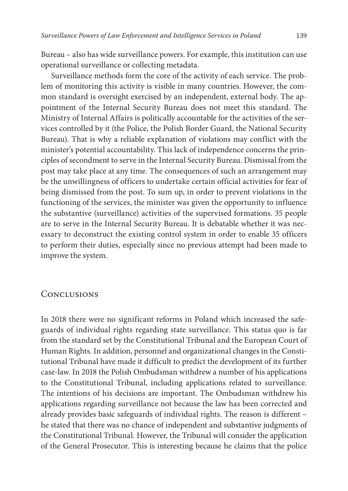Bureau – also has wide surveillance powers. For example, this institution can use operational surveillance or collecting metadata.

Surveillance methods form the core of the activity of each service. The problem of monitoring this activity is visible in many countries. However, the common standard is oversight exercised by an independent, external body. The appointment of the Internal Security Bureau does not meet this standard. The Ministry of Internal Affairs is politically accountable for the activities of the services controlled by it (the Police, the Polish Border Guard, the National Security Bureau). That is why a reliable explanation of violations may conflict with the minister's potential accountability. This lack of independence concerns the principles of secondment to serve in the Internal Security Bureau. Dismissal from the post may take place at any time. The consequences of such an arrangement may be the unwillingness of officers to undertake certain official activities for fear of being dismissed from the post. To sum up, in order to prevent violations in the functioning of the services, the minister was given the opportunity to influence the substantive (surveillance) activities of the supervised formations. 35 people are to serve in the Internal Security Bureau. It is debatable whether it was necessary to deconstruct the existing control system in order to enable 35 officers to perform their duties, especially since no previous attempt had been made to improve the system.

# **CONCLUSIONS**

In 2018 there were no significant reforms in Poland which increased the safeguards of individual rights regarding state surveillance. This status quo is far from the standard set by the Constitutional Tribunal and the European Court of Human Rights. In addition, personnel and organizational changes in the Constitutional Tribunal have made it difficult to predict the development of its further case-law. In 2018 the Polish Ombudsman withdrew a number of his applications to the Constitutional Tribunal, including applications related to surveillance. The intentions of his decisions are important. The Ombudsman withdrew his applications regarding surveillance not because the law has been corrected and already provides basic safeguards of individual rights. The reason is different – he stated that there was no chance of independent and substantive judgments of the Constitutional Tribunal. However, the Tribunal will consider the application of the General Prosecutor. This is interesting because he claims that the police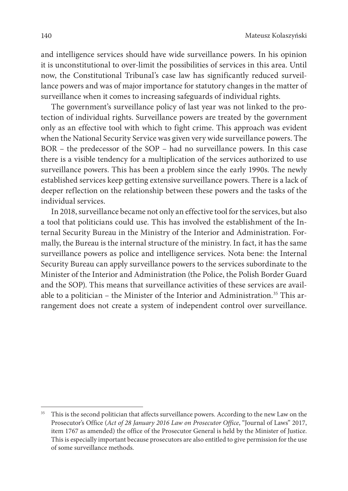and intelligence services should have wide surveillance powers. In his opinion it is unconstitutional to over-limit the possibilities of services in this area. Until now, the Constitutional Tribunal's case law has significantly reduced surveillance powers and was of major importance for statutory changes in the matter of surveillance when it comes to increasing safeguards of individual rights.

The government's surveillance policy of last year was not linked to the protection of individual rights. Surveillance powers are treated by the government only as an effective tool with which to fight crime. This approach was evident when the National Security Service was given very wide surveillance powers. The BOR – the predecessor of the SOP – had no surveillance powers. In this case there is a visible tendency for a multiplication of the services authorized to use surveillance powers. This has been a problem since the early 1990s. The newly established services keep getting extensive surveillance powers. There is a lack of deeper reflection on the relationship between these powers and the tasks of the individual services.

In 2018, surveillance became not only an effective tool for the services, but also a tool that politicians could use. This has involved the establishment of the Internal Security Bureau in the Ministry of the Interior and Administration. Formally, the Bureau is the internal structure of the ministry. In fact, it has the same surveillance powers as police and intelligence services. Nota bene: the Internal Security Bureau can apply surveillance powers to the services subordinate to the Minister of the Interior and Administration (the Police, the Polish Border Guard and the SOP). This means that surveillance activities of these services are available to a politician – the Minister of the Interior and Administration.<sup>35</sup> This arrangement does not create a system of independent control over surveillance.

<sup>&</sup>lt;sup>35</sup> This is the second politician that affects surveillance powers. According to the new Law on the Prosecutor's Office (*Act of 28 January 2016 Law on Prosecutor Office*, "Journal of Laws" 2017, item 1767 as amended) the office of the Prosecutor General is held by the Minister of Justice. This is especially important because prosecutors are also entitled to give permission for the use of some surveillance methods.